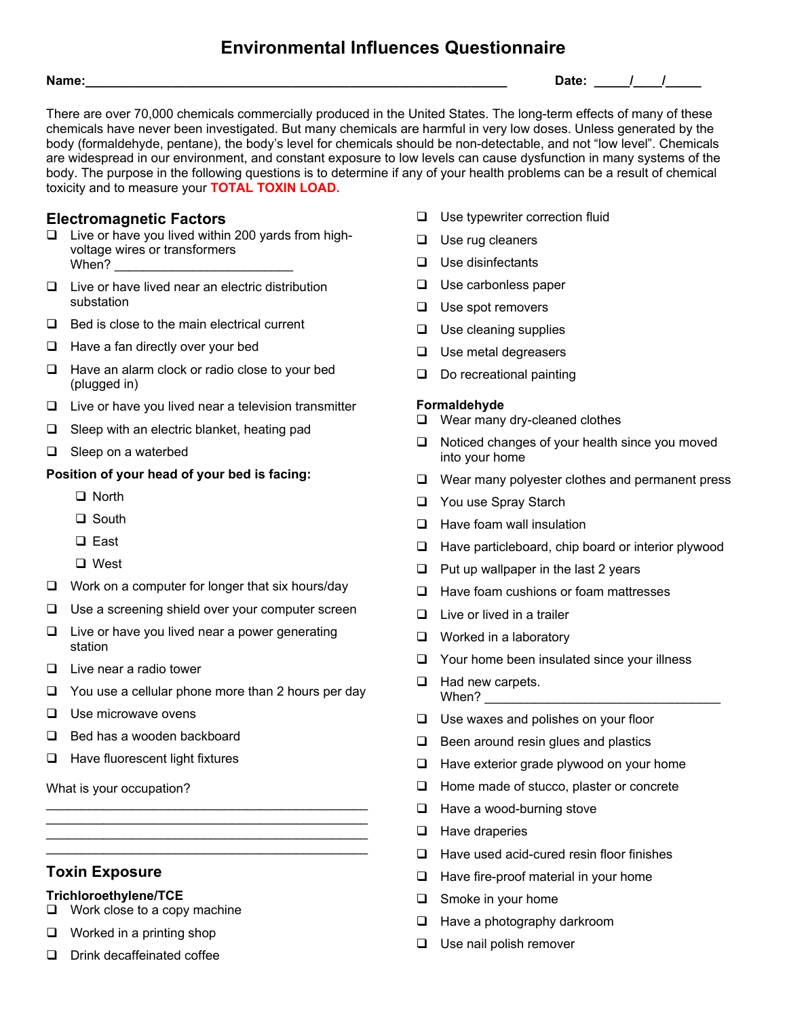# **Environmental Influences Questionnaire**

**Name:\_\_\_\_\_\_\_\_\_\_\_\_\_\_\_\_\_\_\_\_\_\_\_\_\_\_\_\_\_\_\_\_\_\_\_\_\_\_\_\_\_\_\_\_\_\_\_\_\_\_\_\_\_\_\_\_\_\_\_ Date: \_\_\_\_\_/\_\_\_\_/\_\_\_\_\_** 

There are over 70,000 chemicals commercially produced in the United States. The long-term effects of many of these chemicals have never been investigated. But many chemicals are harmful in very low doses. Unless generated by the body (formaldehyde, pentane), the body's level for chemicals should be non-detectable, and not "low level". Chemicals are widespread in our environment, and constant exposure to low levels can cause dysfunction in many systems of the body. The purpose in the following questions is to determine if any of your health problems can be a result of chemical toxicity and to measure your **TOTAL TOXIN LOAD.**

## **Electromagnetic Factors**

- $\Box$  Live or have you lived within 200 yards from highvoltage wires or transformers When?
- $\Box$  Live or have lived near an electric distribution substation
- $\Box$  Bed is close to the main electrical current
- $\Box$  Have a fan directly over your bed
- $\Box$  Have an alarm clock or radio close to your bed (plugged in)
- $\Box$  Live or have you lived near a television transmitter
- $\Box$  Sleep with an electric blanket, heating pad
- $\Box$  Sleep on a waterbed

### **Position of your head of your bed is facing:**

- □ North
- □ South
- □ East
- □ West
- $\Box$  Work on a computer for longer that six hours/day
- $\Box$  Use a screening shield over your computer screen
- $\Box$  Live or have you lived near a power generating station
- $\Box$  Live near a radio tower
- $\Box$  You use a cellular phone more than 2 hours per day

 $\mathcal{L}_\text{max}$  , and the set of the set of the set of the set of the set of the set of the set of the set of the set of the set of the set of the set of the set of the set of the set of the set of the set of the set of the \_\_\_\_\_\_\_\_\_\_\_\_\_\_\_\_\_\_\_\_\_\_\_\_\_\_\_\_\_\_\_\_\_\_\_\_\_\_\_\_\_\_\_\_\_ \_\_\_\_\_\_\_\_\_\_\_\_\_\_\_\_\_\_\_\_\_\_\_\_\_\_\_\_\_\_\_\_\_\_\_\_\_\_\_\_\_\_\_\_\_  $\mathcal{L}_\text{max}$  , and the set of the set of the set of the set of the set of the set of the set of the set of the set of the set of the set of the set of the set of the set of the set of the set of the set of the set of the

- $\Box$  Use microwave ovens
- $\Box$  Bed has a wooden backboard
- $\Box$  Have fluorescent light fixtures

What is your occupation?

## **Toxin Exposure**

#### **Trichloroethylene/TCE**

- $\Box$  Work close to a copy machine
- $\Box$  Worked in a printing shop
- Drink decaffeinated coffee
- $\Box$  Use typewriter correction fluid
- $\Box$  Use rug cleaners
- $\Box$  Use disinfectants
- $\Box$  Use carbonless paper
- $\Box$  Use spot removers
- $\Box$  Use cleaning supplies
- $\Box$  Use metal degreasers
- $\Box$  Do recreational painting

#### **Formaldehyde**

- □ Wear many dry-cleaned clothes
- $\Box$  Noticed changes of your health since you moved into your home
- $\Box$  Wear many polyester clothes and permanent press
- □ You use Spray Starch
- $\Box$  Have foam wall insulation
- $\Box$  Have particleboard, chip board or interior plywood
- $\Box$  Put up wallpaper in the last 2 years
- $\Box$  Have foam cushions or foam mattresses
- $\Box$  Live or lived in a trailer
- $\Box$  Worked in a laboratory
- $\Box$  Your home been insulated since your illness
- $\Box$  Had new carpets. When?  $\qquad \qquad \qquad$
- $\Box$  Use waxes and polishes on your floor
- $\Box$  Been around resin glues and plastics
- $\Box$  Have exterior grade plywood on your home
- $\Box$  Home made of stucco, plaster or concrete
- $\Box$  Have a wood-burning stove
- $\Box$  Have draperies
- $\Box$  Have used acid-cured resin floor finishes
- $\Box$  Have fire-proof material in your home
- □ Smoke in your home
- $\Box$  Have a photography darkroom
- $\Box$  Use nail polish remover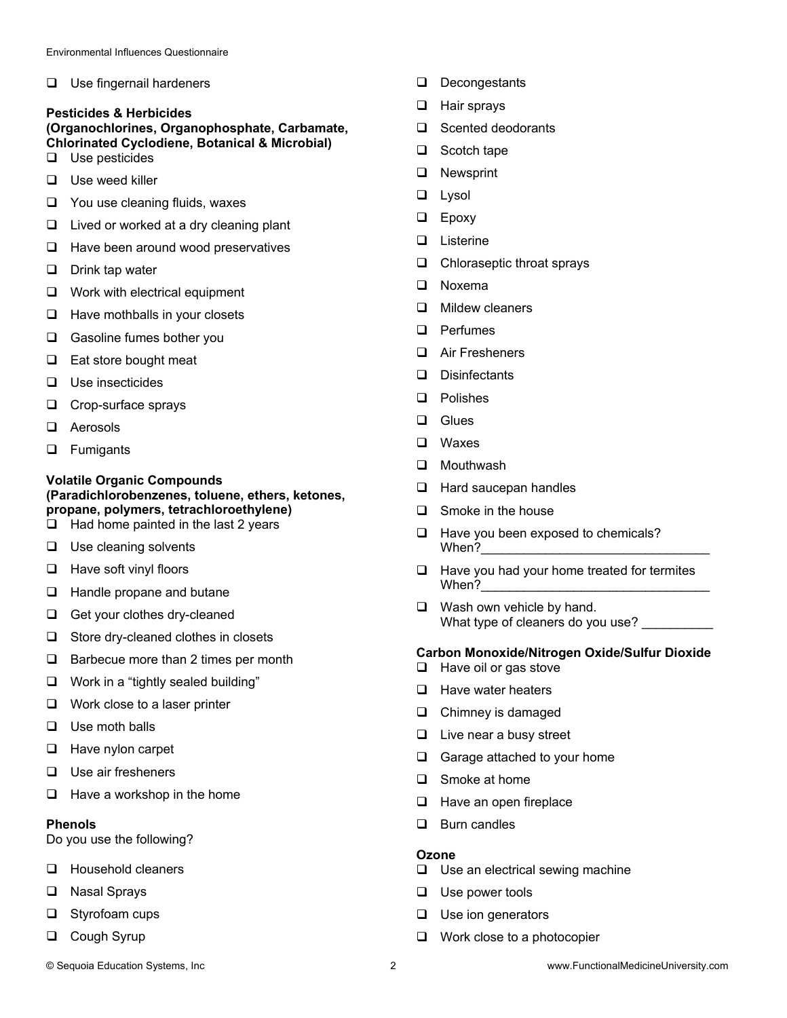□ Use fingernail hardeners

#### **Pesticides & Herbicides (Organochlorines, Organophosphate, Carbamate, Chlorinated Cyclodiene, Botanical & Microbial)**

- $\Box$  Use pesticides
- $\Box$  Use weed killer
- $\Box$  You use cleaning fluids, waxes
- $\Box$  Lived or worked at a dry cleaning plant
- $\Box$  Have been around wood preservatives
- $\Box$  Drink tap water
- □ Work with electrical equipment
- $\Box$  Have mothballs in your closets
- Gasoline fumes bother you
- $\Box$  Eat store bought meat
- $\Box$  Use insecticides
- $\Box$  Crop-surface sprays
- □ Aerosols
- **D** Fumigants

## **Volatile Organic Compounds (Paradichlorobenzenes, toluene, ethers, ketones, propane, polymers, tetrachloroethylene)**

- $\Box$  Had home painted in the last 2 years
- $\Box$  Use cleaning solvents
- $\Box$  Have soft vinyl floors
- $\Box$  Handle propane and butane
- Get your clothes dry-cleaned
- $\Box$  Store dry-cleaned clothes in closets
- $\Box$  Barbecue more than 2 times per month
- $\Box$  Work in a "tightly sealed building"
- $\Box$  Work close to a laser printer
- $\Box$  Use moth balls
- $\Box$  Have nylon carpet
- $\Box$  Use air fresheners
- $\Box$  Have a workshop in the home

### **Phenols**

Do you use the following?

- **Household cleaners**
- **Q** Nasal Sprays
- $\Box$  Styrofoam cups
- **Q** Cough Syrup
- Decongestants
- **Hair sprays**
- □ Scented deodorants
- $\Box$  Scotch tape
- **Q** Newsprint
- $\Box$  Lysol
- **Epoxy**
- **Listerine**
- $\Box$  Chloraseptic throat sprays
- □ Noxema
- $\Box$  Mildew cleaners
- D Perfumes
- Air Fresheners
- Disinfectants
- **Q** Polishes
- □ Glues
- Waxes
- **D** Mouthwash
- $\Box$  Hard saucepan handles
- $\Box$  Smoke in the house
- $\Box$  Have you been exposed to chemicals? When?
- $\Box$  Have you had your home treated for termites When?
- $\Box$  Wash own vehicle by hand. What type of cleaners do you use?

#### **Carbon Monoxide/Nitrogen Oxide/Sulfur Dioxide**

- $\Box$  Have oil or gas stove
- $\Box$  Have water heaters
- **Q** Chimney is damaged
- $\Box$  Live near a busy street
- Garage attached to your home
- □ Smoke at home
- $\Box$  Have an open fireplace
- $\Box$  Burn candles

#### **Ozone**

- $\Box$  Use an electrical sewing machine
- $\Box$  Use power tools
- $\Box$  Use ion generators
- $\Box$  Work close to a photocopier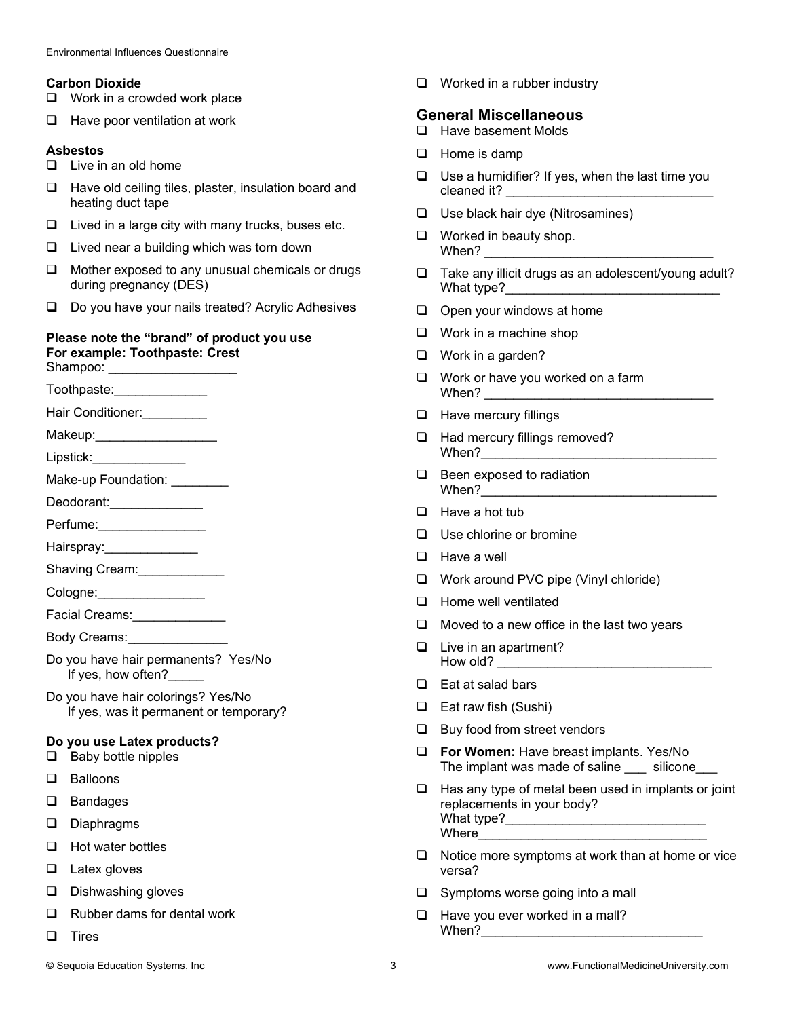#### **Carbon Dioxide**

- □ Work in a crowded work place
- $\Box$  Have poor ventilation at work

#### **Asbestos**

- $\Box$  Live in an old home
- $\Box$  Have old ceiling tiles, plaster, insulation board and heating duct tape
- $\Box$  Lived in a large city with many trucks, buses etc.
- $\Box$  Lived near a building which was torn down
- $\Box$  Mother exposed to any unusual chemicals or drugs during pregnancy (DES)
- $\Box$  Do you have your nails treated? Acrylic Adhesives

## **Please note the "brand" of product you use For example: Toothpaste: Crest**

Shampoo: \_\_\_

- Toothpaste:
- Hair Conditioner: \_\_\_\_\_\_\_\_\_

Makeup:

Lipstick:\_\_\_\_\_\_\_\_\_\_\_\_\_

Make-up Foundation:

Deodorant: \_\_\_\_\_\_\_\_\_\_\_\_\_\_\_\_\_

Perfume:

- Hairspray:
- Shaving Cream:\_\_\_\_\_\_\_\_\_\_\_\_\_

Cologne:

- Facial Creams:\_\_\_\_\_\_\_\_\_\_\_\_\_\_\_\_
- Body Creams:
- Do you have hair permanents? Yes/No If yes, how often?
- Do you have hair colorings? Yes/No If yes, was it permanent or temporary?

### **Do you use Latex products?**

- $\Box$  Baby bottle nipples
- **Q** Balloons
- □ Bandages
- Diaphragms
- $\Box$  Hot water bottles
- **Latex gloves**
- $\square$  Dishwashing gloves
- $\Box$  Rubber dams for dental work
- $\square$  Tires

 $\Box$  Worked in a rubber industry

## **General Miscellaneous**

- □ Have basement Molds
- $\Box$  Home is damp
- $\Box$  Use a humidifier? If yes, when the last time you cleaned it?
- $\Box$  Use black hair dye (Nitrosamines)
- $\Box$  Worked in beauty shop. When? \_\_\_\_\_\_\_\_\_\_\_\_\_\_\_\_\_\_\_\_\_\_\_\_\_\_\_\_\_\_\_\_
- $\Box$  Take any illicit drugs as an adolescent/young adult? What type?\_\_\_\_\_\_\_\_\_\_\_\_\_\_\_\_\_\_\_\_\_\_\_\_\_\_\_\_\_\_
- $\Box$  Open your windows at home
- $\Box$  Work in a machine shop
- □ Work in a garden?
- $\Box$  Work or have you worked on a farm  $When? \qquad \qquad$
- $\Box$  Have mercury fillings
- □ Had mercury fillings removed? When?\_\_\_\_\_\_\_\_\_\_\_\_\_\_\_\_\_\_\_\_\_\_\_\_\_\_\_\_\_\_\_\_\_
- $\Box$  Been exposed to radiation When?\_\_\_\_\_\_\_\_\_\_\_\_\_\_\_\_\_\_\_\_\_\_\_\_\_\_\_\_\_\_\_\_\_
- $\Box$  Have a hot tub
- □ Use chlorine or bromine
- **Have a well**
- □ Work around PVC pipe (Vinyl chloride)
- $\Box$  Home well ventilated
- $\Box$  Moved to a new office in the last two years
- $\Box$  Live in an apartment? How old?
- $\Box$  Eat at salad bars
- □ Eat raw fish (Sushi)
- $\Box$  Buy food from street vendors
- **For Women:** Have breast implants. Yes/No The implant was made of saline \_\_\_ silicone\_\_\_
- $\Box$  Has any type of metal been used in implants or joint replacements in your body? What type?\_\_\_\_\_\_\_\_\_\_\_\_\_\_\_\_\_\_\_\_\_\_\_\_\_\_\_\_ Where
- $\Box$  Notice more symptoms at work than at home or vice versa?
- $\Box$  Symptoms worse going into a mall
- $\Box$  Have you ever worked in a mall? When?\_\_\_\_\_\_\_\_\_\_\_\_\_\_\_\_\_\_\_\_\_\_\_\_\_\_\_\_\_\_\_